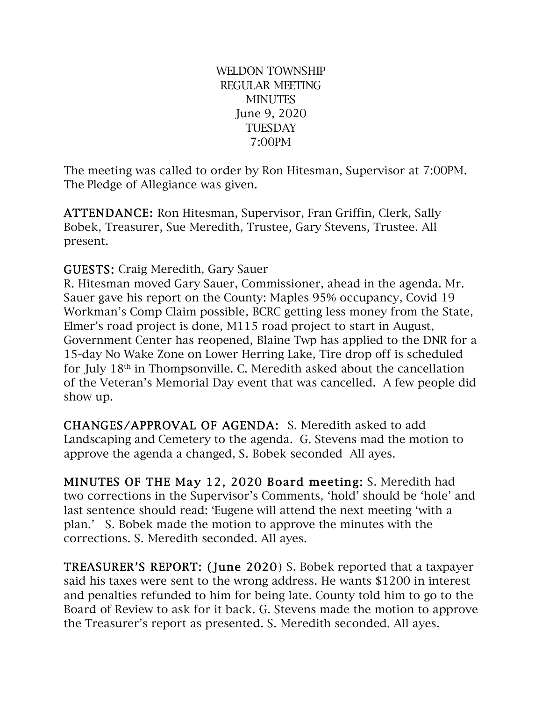WELDON TOWNSHIP REGULAR MEETING **MINUTES** June 9, 2020 **TUESDAY** 7:00PM

The meeting was called to order by Ron Hitesman, Supervisor at 7:00PM. The Pledge of Allegiance was given.

ATTENDANCE: Ron Hitesman, Supervisor, Fran Griffin, Clerk, Sally Bobek, Treasurer, Sue Meredith, Trustee, Gary Stevens, Trustee. All present.

GUESTS: Craig Meredith, Gary Sauer

R. Hitesman moved Gary Sauer, Commissioner, ahead in the agenda. Mr. Sauer gave his report on the County: Maples 95% occupancy, Covid 19 Workman's Comp Claim possible, BCRC getting less money from the State, Elmer's road project is done, M115 road project to start in August, Government Center has reopened, Blaine Twp has applied to the DNR for a 15-day No Wake Zone on Lower Herring Lake, Tire drop off is scheduled for July 18th in Thompsonville. C. Meredith asked about the cancellation of the Veteran's Memorial Day event that was cancelled. A few people did show up.

CHANGES/APPROVAL OF AGENDA: S. Meredith asked to add Landscaping and Cemetery to the agenda. G. Stevens mad the motion to approve the agenda a changed, S. Bobek seconded All ayes.

MINUTES OF THE May 12, 2020 Board meeting: S. Meredith had two corrections in the Supervisor's Comments, 'hold' should be 'hole' and last sentence should read: 'Eugene will attend the next meeting 'with a plan.' S. Bobek made the motion to approve the minutes with the corrections. S. Meredith seconded. All ayes.

TREASURER'S REPORT: (June 2020) S. Bobek reported that a taxpayer said his taxes were sent to the wrong address. He wants \$1200 in interest and penalties refunded to him for being late. County told him to go to the Board of Review to ask for it back. G. Stevens made the motion to approve the Treasurer's report as presented. S. Meredith seconded. All ayes.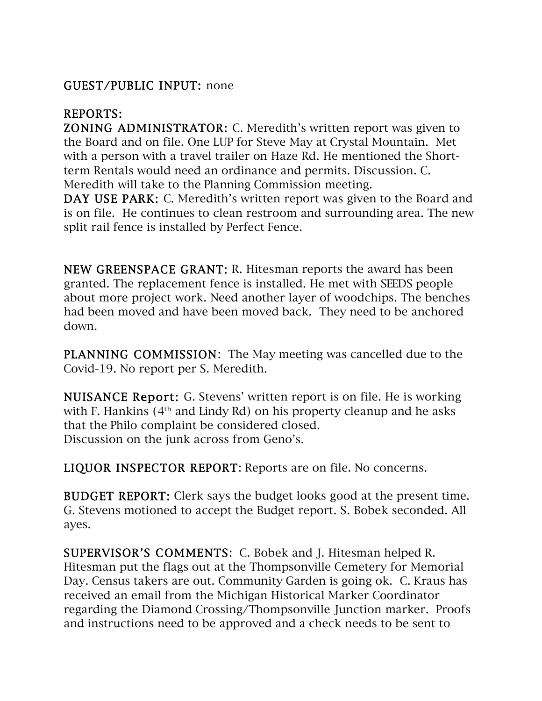# GUEST/PUBLIC INPUT: none

# REPORTS:

ZONING ADMINISTRATOR: C. Meredith's written report was given to the Board and on file. One LUP for Steve May at Crystal Mountain. Met with a person with a travel trailer on Haze Rd. He mentioned the Shortterm Rentals would need an ordinance and permits. Discussion. C. Meredith will take to the Planning Commission meeting.

DAY USE PARK: C. Meredith's written report was given to the Board and is on file. He continues to clean restroom and surrounding area. The new split rail fence is installed by Perfect Fence.

NEW GREENSPACE GRANT: R. Hitesman reports the award has been granted. The replacement fence is installed. He met with SEEDS people about more project work. Need another layer of woodchips. The benches had been moved and have been moved back. They need to be anchored down.

PLANNING COMMISSION: The May meeting was cancelled due to the Covid-19. No report per S. Meredith.

NUISANCE Report: G. Stevens' written report is on file. He is working with F. Hankins (4<sup>th</sup> and Lindy Rd) on his property cleanup and he asks that the Philo complaint be considered closed. Discussion on the junk across from Geno's.

LIQUOR INSPECTOR REPORT: Reports are on file. No concerns.

BUDGET REPORT: Clerk says the budget looks good at the present time. G. Stevens motioned to accept the Budget report. S. Bobek seconded. All ayes.

SUPERVISOR'S COMMENTS: C. Bobek and J. Hitesman helped R. Hitesman put the flags out at the Thompsonville Cemetery for Memorial Day. Census takers are out. Community Garden is going ok. C. Kraus has received an email from the Michigan Historical Marker Coordinator regarding the Diamond Crossing/Thompsonville Junction marker. Proofs and instructions need to be approved and a check needs to be sent to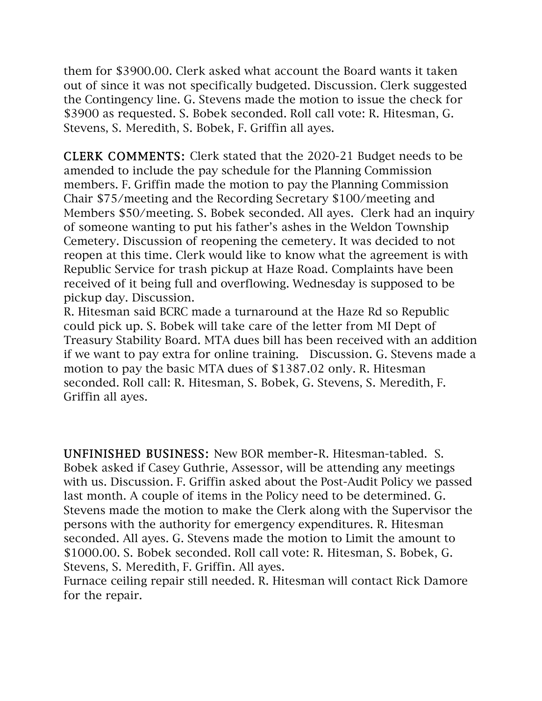them for \$3900.00. Clerk asked what account the Board wants it taken out of since it was not specifically budgeted. Discussion. Clerk suggested the Contingency line. G. Stevens made the motion to issue the check for \$3900 as requested. S. Bobek seconded. Roll call vote: R. Hitesman, G. Stevens, S. Meredith, S. Bobek, F. Griffin all ayes.

CLERK COMMENTS: Clerk stated that the 2020-21 Budget needs to be amended to include the pay schedule for the Planning Commission members. F. Griffin made the motion to pay the Planning Commission Chair \$75/meeting and the Recording Secretary \$100/meeting and Members \$50/meeting. S. Bobek seconded. All ayes. Clerk had an inquiry of someone wanting to put his father's ashes in the Weldon Township Cemetery. Discussion of reopening the cemetery. It was decided to not reopen at this time. Clerk would like to know what the agreement is with Republic Service for trash pickup at Haze Road. Complaints have been received of it being full and overflowing. Wednesday is supposed to be pickup day. Discussion.

R. Hitesman said BCRC made a turnaround at the Haze Rd so Republic could pick up. S. Bobek will take care of the letter from MI Dept of Treasury Stability Board. MTA dues bill has been received with an addition if we want to pay extra for online training. Discussion. G. Stevens made a motion to pay the basic MTA dues of \$1387.02 only. R. Hitesman seconded. Roll call: R. Hitesman, S. Bobek, G. Stevens, S. Meredith, F. Griffin all ayes.

UNFINISHED BUSINESS: New BOR member-R. Hitesman-tabled. S. Bobek asked if Casey Guthrie, Assessor, will be attending any meetings with us. Discussion. F. Griffin asked about the Post-Audit Policy we passed last month. A couple of items in the Policy need to be determined. G. Stevens made the motion to make the Clerk along with the Supervisor the persons with the authority for emergency expenditures. R. Hitesman seconded. All ayes. G. Stevens made the motion to Limit the amount to \$1000.00. S. Bobek seconded. Roll call vote: R. Hitesman, S. Bobek, G. Stevens, S. Meredith, F. Griffin. All ayes.

Furnace ceiling repair still needed. R. Hitesman will contact Rick Damore for the repair.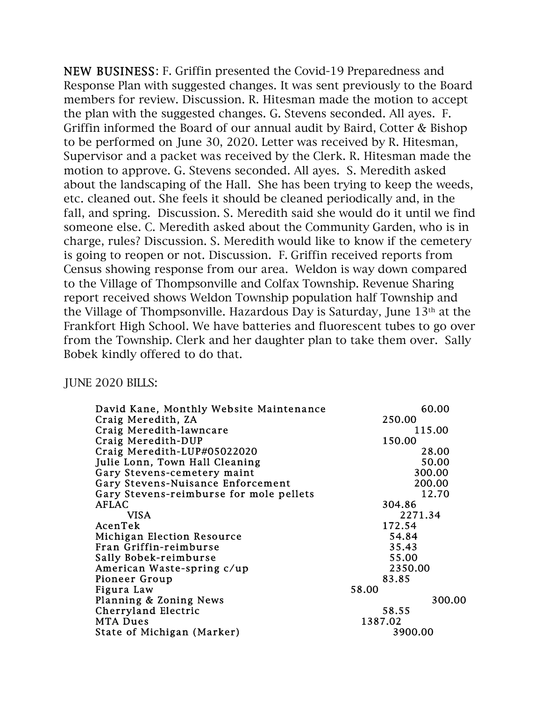NEW BUSINESS: F. Griffin presented the Covid-19 Preparedness and Response Plan with suggested changes. It was sent previously to the Board members for review. Discussion. R. Hitesman made the motion to accept the plan with the suggested changes. G. Stevens seconded. All ayes. F. Griffin informed the Board of our annual audit by Baird, Cotter & Bishop to be performed on June 30, 2020. Letter was received by R. Hitesman, Supervisor and a packet was received by the Clerk. R. Hitesman made the motion to approve. G. Stevens seconded. All ayes. S. Meredith asked about the landscaping of the Hall. She has been trying to keep the weeds, etc. cleaned out. She feels it should be cleaned periodically and, in the fall, and spring. Discussion. S. Meredith said she would do it until we find someone else. C. Meredith asked about the Community Garden, who is in charge, rules? Discussion. S. Meredith would like to know if the cemetery is going to reopen or not. Discussion. F. Griffin received reports from Census showing response from our area. Weldon is way down compared to the Village of Thompsonville and Colfax Township. Revenue Sharing report received shows Weldon Township population half Township and the Village of Thompsonville. Hazardous Day is Saturday, June 13th at the Frankfort High School. We have batteries and fluorescent tubes to go over from the Township. Clerk and her daughter plan to take them over. Sally Bobek kindly offered to do that.

#### JUNE 2020 BILLS:

| David Kane, Monthly Website Maintenance | 60.00   |
|-----------------------------------------|---------|
| Craig Meredith, ZA                      | 250.00  |
| Craig Meredith-lawncare                 | 115.00  |
| Craig Meredith-DUP                      | 150.00  |
| Craig Meredith-LUP#05022020             | 28.00   |
| Julie Lonn, Town Hall Cleaning          | 50.00   |
| Gary Stevens-cemetery maint             | 300.00  |
| Gary Stevens-Nuisance Enforcement       | 200.00  |
| Gary Stevens-reimburse for mole pellets | 12.70   |
| <b>AFLAC</b>                            | 304.86  |
| VISA                                    | 2271.34 |
|                                         |         |
| AcenTek                                 | 172.54  |
| Michigan Election Resource              | 54.84   |
| Fran Griffin-reimburse                  | 35.43   |
| Sally Bobek-reimburse                   | 55.00   |
| American Waste-spring c/up              | 2350.00 |
| Pioneer Group                           | 83.85   |
| Figura Law                              | 58.00   |
| Planning & Zoning News                  | 300.00  |
| Cherryland Electric                     | 58.55   |
| <b>MTA Dues</b>                         | 1387.02 |
|                                         |         |
| State of Michigan (Marker)              | 3900.00 |
|                                         |         |